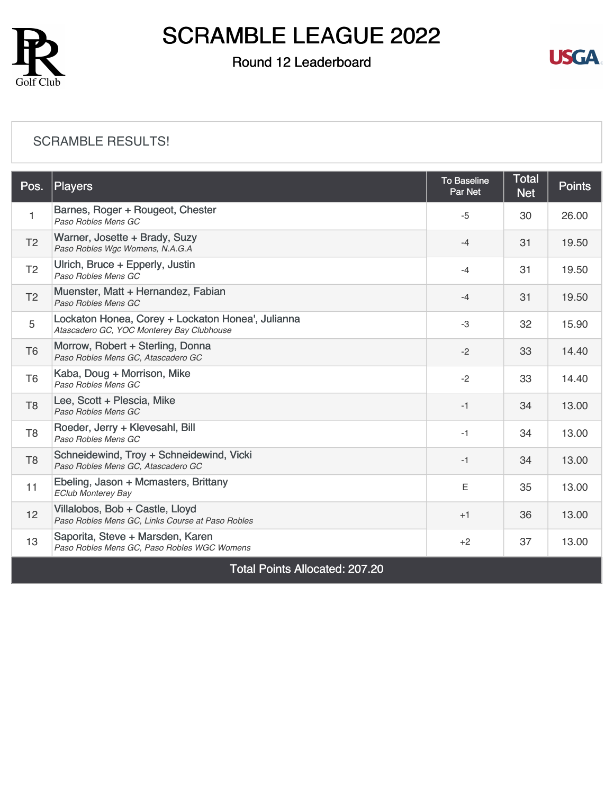

### Round 12 Leaderboard



#### [SCRAMBLE RESULTS!](https://static.golfgenius.com/v2tournaments/8489157633381547545?called_from=&round_index=12)

| Pos.                                  | Players                                                                                        | <b>To Baseline</b><br>Par Net | <b>Total</b><br><b>Net</b> | <b>Points</b> |  |  |
|---------------------------------------|------------------------------------------------------------------------------------------------|-------------------------------|----------------------------|---------------|--|--|
| $\mathbf{1}$                          | Barnes, Roger + Rougeot, Chester<br>Paso Robles Mens GC                                        | $-5$                          | 30                         | 26.00         |  |  |
| T <sub>2</sub>                        | Warner, Josette + Brady, Suzy<br>Paso Robles Wgc Womens, N.A.G.A                               | $-4$                          | 31                         | 19.50         |  |  |
| T <sub>2</sub>                        | Ulrich, Bruce + Epperly, Justin<br>Paso Robles Mens GC                                         | $-4$                          | 31                         | 19.50         |  |  |
| T <sub>2</sub>                        | Muenster, Matt + Hernandez, Fabian<br>Paso Robles Mens GC                                      | $-4$                          | 31                         | 19.50         |  |  |
| 5                                     | Lockaton Honea, Corey + Lockaton Honea', Julianna<br>Atascadero GC, YOC Monterey Bay Clubhouse | -3                            | 32                         | 15.90         |  |  |
| T <sub>6</sub>                        | Morrow, Robert + Sterling, Donna<br>Paso Robles Mens GC, Atascadero GC                         | $-2$                          | 33                         | 14.40         |  |  |
| T <sub>6</sub>                        | Kaba, Doug + Morrison, Mike<br>Paso Robles Mens GC                                             | $-2$                          | 33                         | 14.40         |  |  |
| T <sub>8</sub>                        | Lee, Scott + Plescia, Mike<br>Paso Robles Mens GC                                              | $-1$                          | 34                         | 13.00         |  |  |
| T <sub>8</sub>                        | Roeder, Jerry + Klevesahl, Bill<br>Paso Robles Mens GC                                         | $-1$                          | 34                         | 13.00         |  |  |
| T <sub>8</sub>                        | Schneidewind, Troy + Schneidewind, Vicki<br>Paso Robles Mens GC, Atascadero GC                 | $-1$                          | 34                         | 13.00         |  |  |
| 11                                    | Ebeling, Jason + Mcmasters, Brittany<br><b>EClub Monterey Bay</b>                              | E                             | 35                         | 13.00         |  |  |
| 12                                    | Villalobos, Bob + Castle, Lloyd<br>Paso Robles Mens GC, Links Course at Paso Robles            | $+1$                          | 36                         | 13.00         |  |  |
| 13                                    | Saporita, Steve + Marsden, Karen<br>Paso Robles Mens GC, Paso Robles WGC Womens                | $+2$                          | 37                         | 13.00         |  |  |
| <b>Total Points Allocated: 207.20</b> |                                                                                                |                               |                            |               |  |  |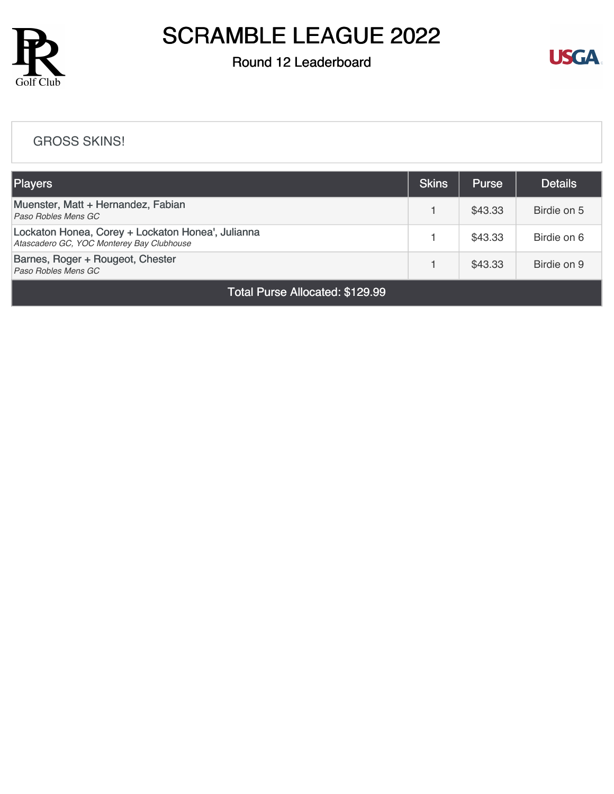

### Round 12 Leaderboard



#### [GROSS SKINS!](https://static.golfgenius.com/v2tournaments/8489158630921256474?called_from=&round_index=12)

| Players                                                                                        |  | <b>Purse</b> | <b>Details</b> |  |  |
|------------------------------------------------------------------------------------------------|--|--------------|----------------|--|--|
| Muenster, Matt + Hernandez, Fabian<br>Paso Robles Mens GC                                      |  | \$43.33      | Birdie on 5    |  |  |
| Lockaton Honea, Corey + Lockaton Honea', Julianna<br>Atascadero GC, YOC Monterey Bay Clubhouse |  | \$43.33      | Birdie on 6    |  |  |
| Barnes, Roger + Rougeot, Chester<br>Paso Robles Mens GC                                        |  | \$43.33      | Birdie on 9    |  |  |
| Total Purse Allocated: \$129.99                                                                |  |              |                |  |  |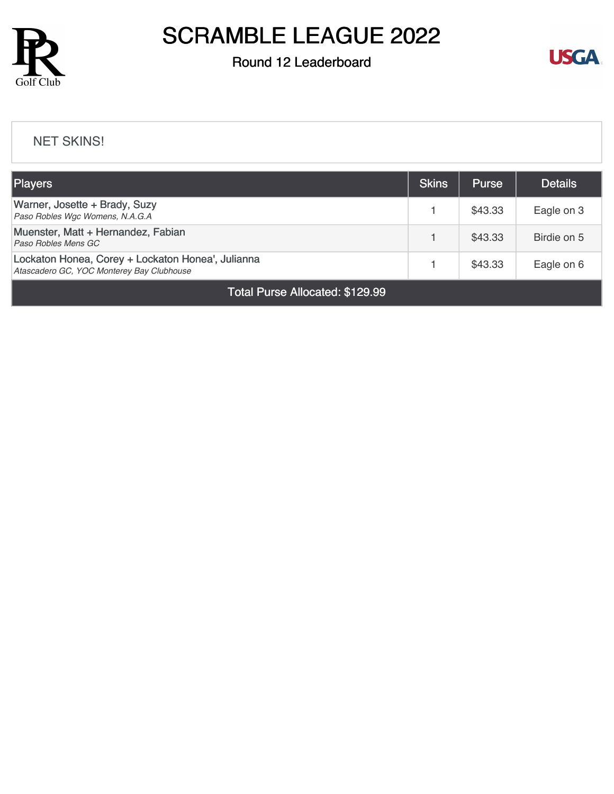

### Round 12 Leaderboard



#### [NET SKINS!](https://static.golfgenius.com/v2tournaments/8489159842437578267?called_from=&round_index=12)

| <b>Players</b>                                                                                 |  | <b>Purse</b> | <b>Details</b> |  |  |
|------------------------------------------------------------------------------------------------|--|--------------|----------------|--|--|
| Warner, Josette + Brady, Suzy<br>Paso Robles Wgc Womens, N.A.G.A                               |  | \$43.33      | Eagle on 3     |  |  |
| Muenster, Matt + Hernandez, Fabian<br>Paso Robles Mens GC                                      |  | \$43.33      | Birdie on 5    |  |  |
| Lockaton Honea, Corey + Lockaton Honea', Julianna<br>Atascadero GC, YOC Monterey Bay Clubhouse |  | \$43.33      | Eagle on 6     |  |  |
| <b>Total Purse Allocated: \$129.99</b>                                                         |  |              |                |  |  |